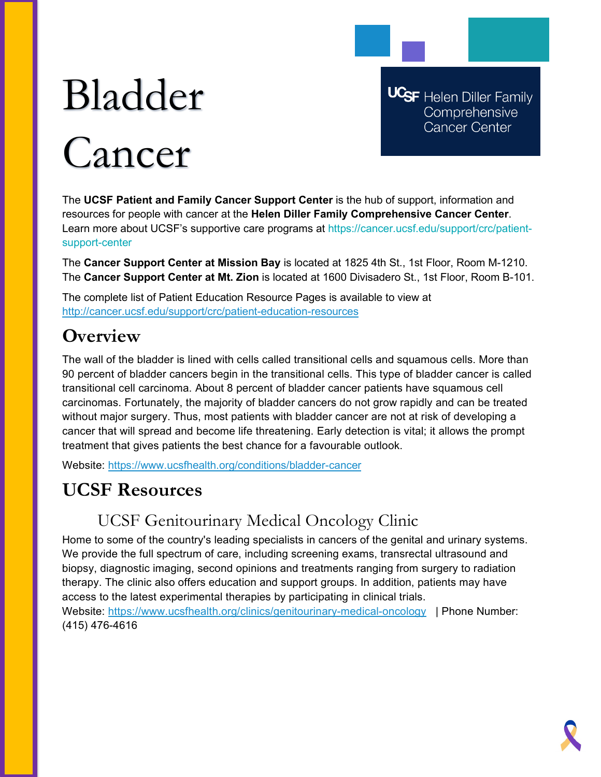# Bladder Cancer

**UCSF** Helen Diller Family Comprehensive **Cancer Center** 

The **UCSF Patient and Family Cancer Support Center** is the hub of support, information and resources for people with cancer at the **Helen Diller Family Comprehensive Cancer Center**. Learn more about UCSF's supportive care programs at https://cancer.ucsf.edu/support/crc/patientsupport-center

The **Cancer Support Center at Mission Bay** is located at 1825 4th St., 1st Floor, Room M-1210. The **Cancer Support Center at Mt. Zion** is located at 1600 Divisadero St., 1st Floor, Room B-101.

The complete list of Patient Education Resource Pages is available to view at <http://cancer.ucsf.edu/support/crc/patient-education-resources>

## **Overview**

The wall of the bladder is lined with cells called transitional cells and squamous cells. More than 90 percent of bladder cancers begin in the transitional cells. This type of bladder cancer is called transitional cell carcinoma. About 8 percent of bladder cancer patients have squamous cell carcinomas. Fortunately, the majority of bladder cancers do not grow rapidly and can be treated without major surgery. Thus, most patients with bladder cancer are not at risk of developing a cancer that will spread and become life threatening. Early detection is vital; it allows the prompt treatment that gives patients the best chance for a favourable outlook.

Website:<https://www.ucsfhealth.org/conditions/bladder-cancer>

# **UCSF Resources**

## UCSF Genitourinary Medical Oncology Clinic

Home to some of the country's leading specialists in cancers of the genital and urinary systems. We provide the full spectrum of care, including screening exams, transrectal ultrasound and biopsy, diagnostic imaging, second opinions and treatments ranging from surgery to radiation therapy. The clinic also offers education and support groups. In addition, patients may have access to the latest experimental therapies by participating in clinical trials. Website:<https://www.ucsfhealth.org/clinics/genitourinary-medical-oncology> | Phone Number: (415) 476-4616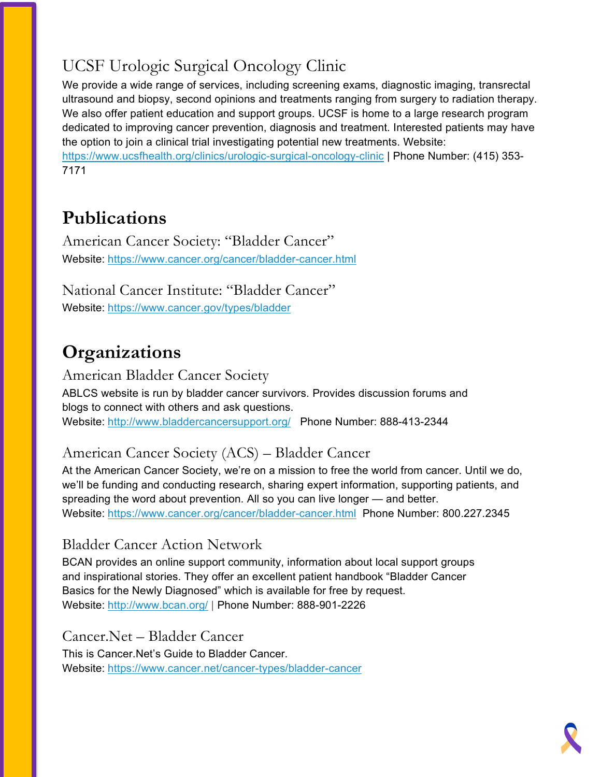# UCSF Urologic Surgical Oncology Clinic

We provide a wide range of services, including screening exams, diagnostic imaging, transrectal ultrasound and biopsy, second opinions and treatments ranging from surgery to radiation therapy. We also offer patient education and support groups. UCSF is home to a large research program dedicated to improving cancer prevention, diagnosis and treatment. Interested patients may have the option to join a clinical trial investigating potential new treatments. Website: <https://www.ucsfhealth.org/clinics/urologic-surgical-oncology-clinic> | Phone Number: (415) 353-

7171

# **Publications**

American Cancer Society: "Bladder Cancer" Website: <https://www.cancer.org/cancer/bladder-cancer.html>

National Cancer Institute: "Bladder Cancer" Website: <https://www.cancer.gov/types/bladder>

# **Organizations**

American Bladder Cancer Society ABLCS website is run by bladder cancer survivors. Provides discussion forums and blogs to connect with others and ask questions. Website: <http://www.bladdercancersupport.org/> Phone Number: 888-413-2344

## American Cancer Society (ACS) – Bladder Cancer

At the American Cancer Society, we're on a mission to free the world from cancer. Until we do, we'll be funding and conducting research, sharing expert information, supporting patients, and spreading the word about prevention. All so you can live longer — and better. Website: <https://www.cancer.org/cancer/bladder-cancer.html>Phone Number: 800.227.2345

## Bladder Cancer Action Network

BCAN provides an online support community, information about local support groups and inspirational stories. They offer an excellent patient handbook "Bladder Cancer Basics for the Newly Diagnosed" which is available for free by request. Website: <http://www.bcan.org/> | Phone Number: 888-901-2226

Cancer.Net – Bladder Cancer

This is Cancer.Net's Guide to Bladder Cancer. Website: <https://www.cancer.net/cancer-types/bladder-cancer>